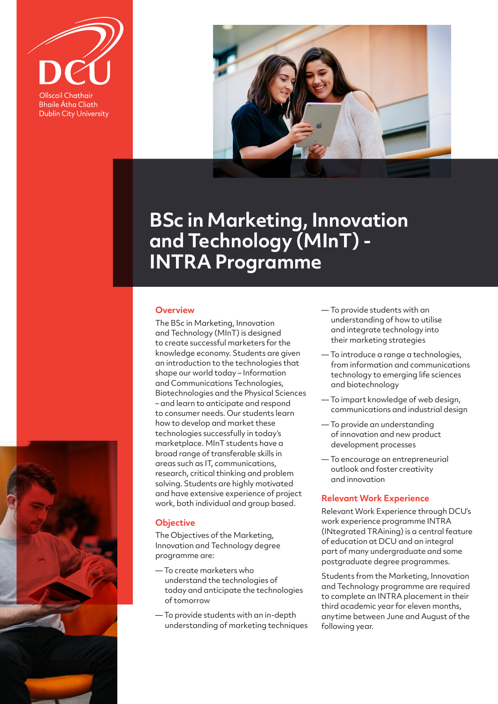

**Bhaile Átha Cliath Dublin City University** 



# **BSc in Marketing, Innovation and Technology (MInT) - INTRA Programme**

# **Overview**

The BSc in Marketing, Innovation and Technology (MInT) is designed to create successful marketers for the knowledge economy. Students are given an introduction to the technologies that shape our world today – Information and Communications Technologies, Biotechnologies and the Physical Sciences – and learn to anticipate and respond to consumer needs. Our students learn how to develop and market these technologies successfully in today's marketplace. MInT students have a broad range of transferable skills in areas such as IT, communications, research, critical thinking and problem solving. Students are highly motivated and have extensive experience of project work, both individual and group based.

# **Objective**

The Objectives of the Marketing, Innovation and Technology degree programme are:

- To create marketers who understand the technologies of today and anticipate the technologies of tomorrow
- To provide students with an in-depth understanding of marketing techniques
- To provide students with an understanding of how to utilise and integrate technology into their marketing strategies
- To introduce a range a technologies, from information and communications technology to emerging life sciences and biotechnology
- To impart knowledge of web design, communications and industrial design
- To provide an understanding of innovation and new product development processes
- To encourage an entrepreneurial outlook and foster creativity and innovation

### **Relevant Work Experience**

Relevant Work Experience through DCU's work experience programme INTRA (INtegrated TRAining) is a central feature of education at DCU and an integral part of many undergraduate and some postgraduate degree programmes.

Students from the Marketing, Innovation and Technology programme are required to complete an INTRA placement in their third academic year for eleven months, anytime between June and August of the following year.